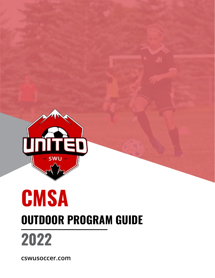

# **CMSA OUTDOOR PROGRAM GUIDE 2022**

**cswusoccer.com**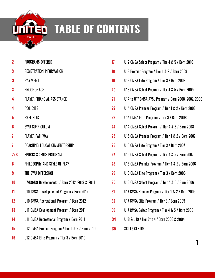

## **TABLE OF CONTENTS**

| $\overline{\mathbf{2}}$ | <b>PROGRAMS OFFERED</b>                           |
|-------------------------|---------------------------------------------------|
| 3                       | <b>REGISTRATION INFORMATION</b>                   |
| 3                       | <b>PAYMENT</b>                                    |
| 3                       | PROOF OF AGE                                      |
| 4                       | PLAYER FINANCIAL ASSISTANCE                       |
| 4                       | <b>POLICIES</b>                                   |
| 5                       | <b>REFUNDS</b>                                    |
| 6                       | <b>SWU CURRICULUM</b>                             |
| 7                       | <b>PLAYER PATHWAY</b>                             |
| 7                       | <b>COACHING EDUCATION/MENTORSHIP</b>              |
| 7/8                     | SPORTS SCIENCE PROGRAM                            |
| 8                       | PHILOSOPHY AND STYLE OF PLAY                      |
| 9                       | THE SWU DIFFERENCE                                |
| 10                      | U7/U8/U9 Developmental / Born 2012, 2013 & 2014   |
| 11                      | U10 CMSA Developmental Program / Born 2012        |
| 12                      | U10 CMSA Recreational Program / Born 2012         |
| 13                      | U11 CMSA Development Program / Born 2011          |
| 14                      | U11 CMSA Recreational Program / Born 2011         |
| 15                      | U12 CMSA Premier Program / Tier 1 & 2 / Born 2010 |
| 16                      | U12 CMSA Elite Program / Tier 3 / Born 2010       |

| 17 | U12 CMSA Select Program / Tier 4 & 5 / Born 2010     |
|----|------------------------------------------------------|
| 18 | U13 Premier Program / Tier 1 & 2 / Born 2009         |
| 19 | U13 CMSA Elite Program / Tier 3 / Born 2009          |
| 20 | U13 CMSA Select Program / Tier 4 & 5 / Born 2009     |
| 21 | U14 to U17 CMSA AYSL Program / Born 2008, 2007, 2006 |
| 22 | U14 CMSA Premier Program / Tier 1 & 2 / Born 2008    |
| 23 | U14 CMSA Elite Program / Tier 3 / Born 2008          |
| 24 | U14 CMSA Select Program / Tier 4 & 5 / Born 2008     |
| 25 | U15 CMSA Premier Program / Tier 1 & 2 / Born 2007    |
| 26 | U15 CMSA Elite Program / Tier 3 / Born 2007          |
| 27 | U15 CMSA Select Program / Tier 4 & 5 / Born 2007     |
| 28 | U16 CMSA Premier Program / Tier 1 & 2 / Born 2006    |
| 29 | U16 CMSA Elite Program / Tier 3 / Born 2006          |
| 30 | U16 CMSA Select Program / Tier 4 & 5 / Born 2006     |
| 31 | U17 CMSA Premier Program / Tier 1 & 2 / Born 2005    |
| 32 | U17 CMSA Elite Program / Tier 3 / Born 2005          |
| 33 | U17 CMSA Select Program / Tier 4 & 5 / Born 2005     |
| 34 | U18 & U19 / Tier 2 to 4 / Born 2003 & 2004           |
| 35 | <b>SKILLS CENTRE</b>                                 |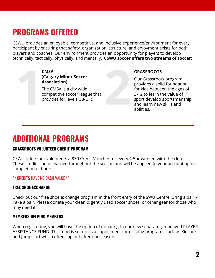## **PROGRAMS OFFERED**

CSWU provides an enjoyable, competitive, and inclusive experience/environment for every participant by ensuring that safety, organization, structure, and enjoyment exists for both players and coaches. Our environment provides an opportunity for players to develop technically, tactically, physically, and mentally. **CSWU soccer offers two streams of soccer:**

> **CMSA (Calgary Minor Soccer Association)**

**12 CMSA**<br> **12 (Calgary Minor Soccer)**<br> **22 Association**<br> **22 CMSA** is a city wide<br>
competitive soccer league that<br>
provides for levels U8-U19. The CMSA is a city wide competitive soccer league that provides for levels U8-U19.

**GRASSROOTS**

Our Grassroots program provides a solid foundation for kids between the ages of 3-12 to learn the value of sport,develop sportsmanship and learn new skills and abilities.

## **ADDITIONAL PROGRAMS**

#### **GRASSROOTS VOLUNTEER CREDIT PROGRAM**

CSWU offers our volunteers a \$50 Credit Voucher for every 4-5hr worked with the club. These credits can be earned throughout the season and will be applied to your account upon completion of hours.

\*\* CREDITS HAVE NO CASH VALUE \*\*

#### **FREE SHOE EXCHANGE**

Check out our free shoe exchange program in the front entry of the SWU Centre. Bring a pair – Take a pair. Please donate your clean & gently used soccer shoes, or other gear for those who may need it.

#### **MEMBERS HELPING MEMBERS**

When registering, you will have the option of donating to our new separately managed PLAYER ASSISTANCE FUND. This fund is set up as a supplement for existing programs such as Kidsport and Jumpstart which often cap out after one season.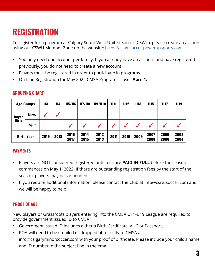## **REGISTRATION**

To register for a program at Calgary South West United Soccer (CSWU), please create an account using our CSWU Member Zone on the website: https://cswusoccer.powerupsports.com

- You only need one account per family. If you already have an account and have registered previously, you do not need to create a new account.
- Players must be registered in order to participate in programs.
- On-Line Registration for May 2022 CMSA Programs closes **April 1.**

| <b>Age Groups</b> |              | U <sub>3</sub> | U4   | <b>U5/U6</b> | U7/U8        | U9/U10       | U11  | <b>U12</b> | U13  | U15          | U17          | U19          |
|-------------------|--------------|----------------|------|--------------|--------------|--------------|------|------------|------|--------------|--------------|--------------|
| Boys/<br>Girls    | Mixed        |                |      |              |              |              |      |            |      |              |              |              |
|                   | <b>Split</b> |                |      |              |              |              |      |            |      |              |              |              |
| <b>Birth Year</b> |              | 2019           | 2018 | 2016<br>2017 | 2014<br>2015 | 2012<br>2013 | 2011 | 2010       | 2009 | 2007<br>2008 | 2005<br>2006 | 2003<br>2004 |

#### **GROUPING CHART**

### **PAYMENTS**

- Players are NOT considered registered until fees are **PAID IN FULL** before the season commences on May 1, 2022. If there are outstanding registration fees by the start of the season, players may be suspended.
- If you require additional information, please contact the Club at [info@cswusoccer.com a](mailto:info@cswusoccer.com)nd we will be happy to help.

### **PROOF OF AGE**

New players or Grassroots players entering into the CMSA U11-U19 League are required to provide government issued ID to CMSA.

- Government issued ID includes either a Birth Certificate, AHC or Passport.
- POA will need to be emailed or dropped off directly to CMSA at [info@calgaryminorsoccer.com](mailto:info@calgaryminorsoccer.com) with your proof of birthdate. Please include your child's name and ID number in the subject line in the email.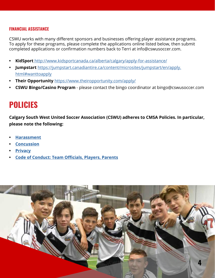#### **FINANCIAL ASSISTANCE**

CSWU works with many different sponsors and businesses offering player assistance programs. To apply for these programs, please complete the applications online listed below, then submit completed applications or confirmation numbers back to Terri at [info@cswusoccer.com.](mailto:info@cswusoccer.com)

- **• KidSport** <http://www.kidsportcanada.ca/alberta/calgary/apply-for-assistance/>
- **• Jumpstart** https://jumpstart.canadiantire.ca/content/microsites/jumpstart/en/apply. html#wanttoapply
- **• Their Opportunity** [https://www.theiropportunity.com/apply/](http://www.theiropportunity.com/apply/)
- **• CSWU Bingo/Casino Program** please contact the bingo coordinator at [bingo@cswusoccer.com](mailto:bingo@cswusoccer.com)

## **POLICIES**

**Calgary South West United Soccer Association (CSWU) adheres to CMSA Policies. In particular, please note the following:**

- **• Harassment**
- **• Concussion**
- **• Privacy**
- **• Code of Conduct: Team Officials, Players, Parents**

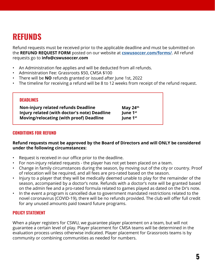## **REFUNDS**

Refund requests must be received prior to the applicable deadline and must be submitted on the **REFUND REQUEST FORM** posted on our website at **cswusoccer.com/forms/**. All refund requests go to **[info@cswusoccer.com](mailto:info@cswusoccer.com)**

- An Administration fee applies and will be deducted from all refunds.
- Administration Fee: Grassroots \$50, CMSA \$100
- There will be **NO** refunds granted or issued after June 1st, 2022
- The timeline for receiving a refund will be 8 to 12 weeks from receipt of the refund request.

| <b>DEADLINES</b>                             |                      |
|----------------------------------------------|----------------------|
| <b>Non-injury related refunds Deadline</b>   | May $24th$           |
| Injury related (with doctor's note) Deadline | June 1 <sup>st</sup> |
| Moving/relocating (with proof) Deadline      | June 1 <sup>st</sup> |

#### **CONDITIONS FOR REFUND**

#### **Refund requests must be approved by the Board of Directors and will ONLY be considered under the following circumstances:**

- Request is received in our office prior to the deadline.
- For non-injury related requests the player has not yet been placed on a team.
- Change in family circumstances during the season, by moving out of the city or country. Proof of relocation will be required, and all fees are pro-rated based on the season.
- Injury to a player that they will be medically deemed unable to play for the remainder of the season, accompanied by a doctor's note. Refunds with a doctor's note will be granted based on the admin fee and a pro-rated formula related to games played as dated on the Dr's note.
- In the event a program is cancelled due to government mandated restrictions related to the novel coronavirus (COVID-19), there will be no refunds provided. The club will offer full credit for any unused amounts paid toward future programs.

#### **POLICY STATEMENT**

When a player registers for CSWU, we guarantee player placement on a team, but will not guarantee a certain level of play. Player placement for CMSA teams will be determined in the evaluation process unless otherwise indicated. Player placement for Grassroots teams is by community or combining communities as needed for numbers.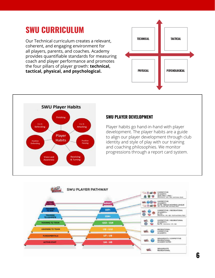## **SWU CURRICULUM**

Our Technical curriculum creates a relevant, coherent, and engaging environment for all players, parents, and coaches. Academy provides quantifiable standards for measuring coach and player performance and promotes the four pillars of player growth: **technical, tactical, physical, and psychological.**





### **SWU PLAYER DEVELOPMENT**

Player habits go hand-in-hand with player development. The player habits are a guide to align our player development through club identity and style of play with our training and coaching philosophies. We monitor progressions through a report card system.

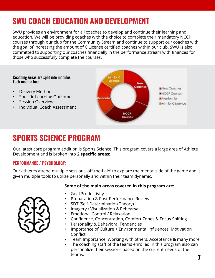## **SWU COACH EDUCATION AND DEVELOPMENT**

SWU provides an environment for all coaches to develop and continue their learning and education. We will be providing coaches with the choice to complete their mandatory NCCP courses through our club for the Community Stream and continue to support our coaches with the goal of increasing the amount of C License certified coaches within our club. SWU is also committed to supporting our coaches financially in the performance stream with finances for those who successfully complete the courses.

Coaching Areas are split into modules. Each module has:

- Delivery Method
- Specific Learning Outcomes
- Session Overviews
- Individual Coach Assessment



## **SPORTS SCIENCE PROGRAM**

Our latest core program addition is Sports Science. This program covers a large area of Athlete Development and is broken into **2 specific areas:**

#### **PERFORMANCE / PSYCHOLOGY:**

Our athletes attend multiple sessions 'off-the-field' to explore the mental side of the game and is given multiple tools to utilize personally and within their team dynamic.

#### **Some of the main areas covered in this program are:**

- Goal Productivity
- Preparation & Post-Performance Review
- SDT (Self-Determination Theory)
- Imagery / Visualization & Rehearsal
- Emotional Control / Relaxation
- Confidence, Concentration, Comfort Zones & Focus Shifting
- Personality & Behavioral Tendencies
- Importance of Culture + Environmental Influences, Motivation + Conflict
- Team Importance, Working with others, Acceptance & many more
- The coaching staff of the teams enrolled in this program also can personalize their sessions based on the current needs of their teams. **7**

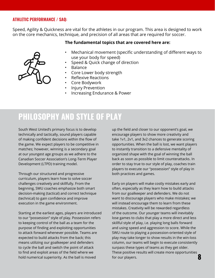#### **ATHLETIC PERFORMANCE / SAQ:**

Speed, Agility & Quickness are vital for the athletes in our program. This area is designed to work on the core mechanics, technique, and precision of all areas that are required for soccer.

#### **The fundamental topics that are covered here are:**



- Mechanical movement (specific understanding of different ways to use your body for speed)
- Speed & Quick change of direction
- Balance
- Core Lower body strength
- Reflexive Reactions
- Core Bodywork
- Injury Prevention
- Increasing Endurance & Power

## **PHILOSOPHY AND STYLE OF PLAY**

South West United's primary focus is to develop technically and tactically, sound players capable of making confident decisions within the flow of the game. We expect players to be competitive in matches; however, winning is a secondary goal at our youngest age groups as we adhere to the Canadian Soccer Association's Long-Term Player Development (LTPD) training model.

Through our structured and progressive curriculum, players learn how to solve soccer challenges creatively and skillfully. From the begnning, SWU coaches emphasize both smart decision-making (tactical) and correct technique (technical) to gain confidence and improve execution in the game environment.

Starting at the earliest ages, players are introduced to our "possession" style of play. Possession refers to keeping control of the ball as a team for the purpose of finding and exploiting opportunities to attack forward whenever possible. Teams are expected to build attacks from the back; this means utilizing our goalkeeper and defenders to cycle the ball and switch the point of attack to find and exploit areas of the field where we hold numerical superiority. As the ball is moved

up the field and closer to our opponent's goal, we encourage players to show more creativity and take 1v1, 2v1, and 3v2 chances to generate scoring opportunities. When the ball is lost, we want players to instantly transition to a defensive mentality of organized shape with the goal of winning the ball back as soon as possible to limit counterattacks. In order to stay true to our style of play, coaches train players to execute our "possession" style of play in both practices and games.

**8** Early on players will make costly mistakes early and often, especially as they learn how to build attacks from our goalkeeper and defenders. We do not want to discourage players who make mistakes; we will instead encourage them to learn from these mistakes. Creativity will be rewarded regardless of the outcome. Our younger teams will inevitably lose games to clubs that play a more direct and less skillful style of play, i.e. playing long balls forward and using speed and aggression to score. While the SWU route to playing a possession-oriented style of play may take longer to show results in the win-loss column, our teams will begin to execute consistently surpass these types of teams as they get older. These positive results will create more opportunities for our players.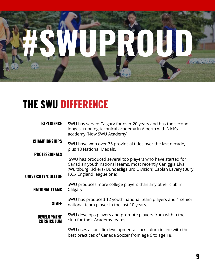

## **THE SWU DIFFERENCE**

| <b>EXPERIENCE</b>                          | SWU has served Calgary for over 20 years and has the second<br>longest running technical academy in Alberta with Nick's<br>academy (Now SWU Academy).                                                                   |
|--------------------------------------------|-------------------------------------------------------------------------------------------------------------------------------------------------------------------------------------------------------------------------|
| <b>CHAMPIONSHIPS</b>                       | SWU have won over 75 provincial titles over the last decade,<br>plus 18 National Medals.                                                                                                                                |
| <b>PROFESSIONALS</b><br>UNIVERSITY/COLLEGE | SWU has produced several top players who have started for<br>Canadian youth national teams, most recently Caniggia Elva<br>(Wurzburg Kickers\ Bundesliga 3rd Division) Caolan Lavery (Bury<br>F.C./ England league one) |
| <b>NATIONAL TEAMS</b>                      | SWU produces more college players than any other club in<br>Calgary.                                                                                                                                                    |
| <b>STAFF</b>                               | SWU has produced 12 youth national team players and 1 senior<br>national team player in the last 10 years.                                                                                                              |
| <b>DEVELOPMENT</b><br><b>CURRICULUM</b>    | SWU develops players and promote players from within the<br>club for their Academy teams.                                                                                                                               |
|                                            | SWU uses a specific developmental curriculum in line with the<br>best practices of Canada Soccer from age 6 to age 18.                                                                                                  |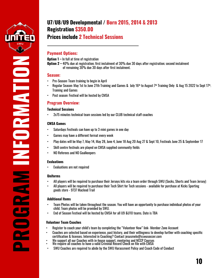

## **U7/U8/U9 Developmental / Born 2015, 2014 & 2013 Registration \$350.00**

## **Prices include 2 Technical Sessions**

#### **Payment Options:**

**Option 1 –** In full at time of registration

**Option 2 –** 40% due at registration; first instalment of 30% due 30 days after registration; second instalment of remaining 30% due 30 days after first instalment.

#### **Season:**

- Pre-Season: Team training to begin in April
- Regular Season: May 1st to June 27th Training and Games & July 16th to August 7th Training Only & Aug 15 2022 to Sept 17th. Training and Games
- Post season: Festival will be hosted by CMSA

#### **Program Overview:**

#### **Technical Sessions**

• 2x75 minutes technical team sessions led by our CLUB technical staff coaches

#### **CMSA Games**

- Saturdays Festivals can have up to 3 mini games in one day
- Games may have a different format every week
- Play dates will be May 7, May 14, May 28, June 4, June 18 Aug 20 Aug 27 & Sept 10, Festivals June 25 & September 17
- Skill centre festivals are played on CMSA supplied community fields
- NO Referees and NO Goalkeepers

#### **Evaluations**

• Evaluations are not required

#### **Uniforms**

- All players will be required to purchase their Jerseys kits via a team order through SWU (Socks, Shorts and Team Jersey)
- All players will be required to purchase their Tech Shirt for Tech sessions available for purchase at Kicks Sporting goods store - 9737 Macleod Trail

#### **Additional Items**

- Team Photos will be taken throughout the season. You will have an opportunity to purchase individual photos of your child. Team photos will be provided by SWU.
- End of Season Festival will be hosted by CMSA for all U9 &U10 teams. Date is TBA

- Register to coach your child's team by completing the "Volunteer Now" link- Member Zone Account
- Coaches are selected based on experience, past history, and their willingness to develop further with coaching specific certification & licenses. Interested in Coaching? Contact [jesusmelo@cswusoccer.com](mailto:jesusmelo@cswusoccer.com)
- We support all our Coaches with in-house support, mentoring and NCCP Courses
- We require all coaches to have a valid Criminal Record Check on file with CMSA
- SWU Coaches are required to abide by the SWU Harassment Policy and Coach Code of Conduct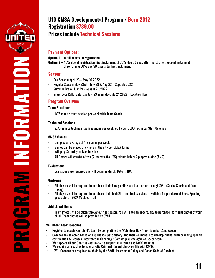

**CONSTRUCTION** 

## **U10 CMSA Developmental Program / Born 2012 Registration \$789.00**

## **Prices include Technical Sessions**

#### **Payment Options:**

**Option 1 –** In full at time of registration

**Option 2 –** 40% due at registration; first instalment of 30% due 30 days after registration; second instalment of remaining 30% due 30 days after first instalment.

#### **Season:**

- Pre-Season: April 23 May 19 2022
- Regular Season: May 23rd July 28 & Aug 22 Sept 25 2022
- Summer Break: July 29 August 21, 2022
- Grassroots Rally: Saturday July 23 & Sunday July 24 2022 Location TBA

#### **Program Overview:**

#### **Team Practices**

• 1x75 minute team session per week with Team Coach

#### **Technical Sessions**

• 2x75 minute technical team sessions per week led by our CLUB Technical Staff Coaches

#### **CMSA Games**

- Can play an average of 1-2 games per week
- Games can be played anywhere in the city per CMSA format
- Will play Saturday and/or Tuesday
- All Games will consist of two (2) twenty-five (25) minute halves 7 players a-side (7 v 7)

#### **Evaluations**

**PROGRAM INFORMATION**

• Evaluations are required and will begin in March. Date is TBA

#### **Uniforms**

- All players will be required to purchase their Jerseys kits via a team order through SWU (Socks, Shorts and Team Jersey)
- All players will be required to purchase their Tech Shirt for Tech sessions available for purchase at Kicks Sporting goods store - 9737 Macleod Trail

#### **Additional Items**

• Team Photos will be taken throughout the season. You will have an opportunity to purchase individual photos of your child. Team photos will be provided by SWU.

- Register to coach your child's team by completing the "Volunteer Now" link- Member Zone Account
- Coaches are selected based on experience, past history, and their willingness to develop further with coaching specific certification & licenses. Interested in Coaching? Contact [jesusmelo@cswusoccer.com](mailto:jesusmelo@cswusoccer.com)
- We support all our Coaches with in-house support, mentoring and NCCP Courses
- We require all coaches to have a valid Criminal Record Check on file with CMSA
- SWU Coaches are required to abide by the SWU Harassment Policy and Coach Code of Conduct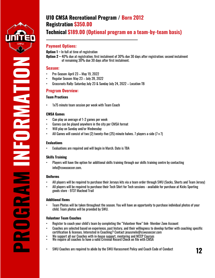

**INFORMATIONSOLENNASO-NE** 

## **U10 CMSA Recreational Program / Born 2012 Registration \$350.00**

## **Technical \$189.00 (Optional program on a team-by-team basis)**

#### **Payment Options:**

- **Option 1 –** In full at time of registration
- **Option 2 –** 40% due at registration; first instalment of 30% due 30 days after registration; second instalment of remaining 30% due 30 days after first instalment.

#### **Season:**

- Pre-Season: April 23 May 19, 2022
- Regular Season: May 23 July 28, 2022
- Grassroots Rally: Saturday July 23 & Sunday July 24, 2022 Location TB

#### **Program Overview:**

#### **Team Practices**

1x75 minute team session per week with Team Coach

#### **CMSA Games**

- Can play an average of 1-2 games per week
- Games can be played anywhere in the city per CMSA format
- Will play on Sunday and/or Wednesday
- All Games will consist of two (2) twenty-five (25) minute halves. 7 players a-side (7 v 7)

#### **Evaluations**

• Evaluations are required and will begin in March. Date is TBA

#### **Skills Training**

• Players will have the option for additional skills training through our skills training centre by contacting [info@cswusoccer.com.](mailto:info@cswusoccer.com)

#### **Uniforms**

**PROGRAM**

- All players will be required to purchase their Jerseys kits via a team order through SWU (Socks, Shorts and Team Jersey)
- All players will be required to purchase their Tech Shirt for Tech sessions available for purchase at Kicks Sporting goods store - 9737 Macleod Trail

#### **Additional Items**

• Team Photos will be taken throughout the season. You will have an opportunity to purchase individual photos of your child. Team photos will be provided by SWU.

- Register to coach your child's team by completing the "Volunteer Now" link- Member Zone Account
- Coaches are selected based on experience, past history, and their willingness to develop further with coaching specific certification & licenses. Interested in Coaching? Contact [jesusmelo@cswusoccer.com](mailto:jesusmelo@cswusoccer.com)
- We support all our Coaches with in-house support, mentoring and NCCP Courses
- We require all coaches to have a valid Criminal Record Check on file with CMSA
- SWU Coaches are required to abide by the SWU Harassment Policy and Coach Code of Conduct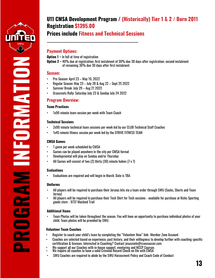

ORANA EL

## **U11 CMSA Development Program / (Historically) Tier 1 & 2 / Born 2011 Registration \$1395.00**

## **Prices include Fitness and Technical Sessions**

#### **Payment Options:**

**Option 1 –** In full at time of registration

**Option 2 –** 40% due at registration; first instalment of 30% due 30 days after registration; second instalment of remaining 30% due 30 days after first instalment.

#### **Season:**

- Pre-Season: April 23 May 19, 2022
- Regular Season: May 23 July 28 & Aug 22 Sept 25 2022
- Summer Break: July 29 Aug 21 2022
- Grassroots Rally: Saturday July 23 & Sunday July 24 2022

#### **Program Overview:**

#### **Team Practices**

• 1x90 minute team session per week with Team Coach

#### **Technical Sessions**

- 2x90 minute technical team sessions per week led by our CLUB Technical Staff Coaches
- 1x45 minute fitness session per week led by the STRIVE FITNESS TEAM

#### **CMSA Games**

- 1 game per week scheduled by CMSA
- Games can be played anywhere in the city per CMSA format
- Developmental will play on Sunday and/or Thursday
- All Games will consist of two (2) thirty (30) minute halves (7 v 7)

#### **Evaluations**

**PROGRAM INFORMATION**

• Evaluations are required and will begin in March. Date is TBA

#### **Uniforms**

- All players will be required to purchase their Jerseys kits via a team order through SWU (Socks, Shorts and Team Jersey)
- All players will be required to purchase their Tech Shirt for Tech sessions available for purchase at Kicks Sporting goods store - 9737 Macleod Trail

#### **Additional Items**

• Team Photos will be taken throughout the season. You will have an opportunity to purchase individual photos of your child. Team photos will be provided by SWU.

- Register to coach your child's team by completing the "Volunteer Now" link- Member Zone Account
- Coaches are selected based on experience, past history, and their willingness to develop further with coaching specific certification & licenses. Interested in Coaching? Contact [jesusmelo@cswusoccer.com](mailto:jesusmelo@cswusoccer.com)
- We support all our Coaches with in-house support, mentoring and NCCP Courses
- We require all coaches to have a valid Criminal Record Check on file with CMSA
- SWU Coaches are required to abide by the SWU Harassment Policy and Coach Code of Conduct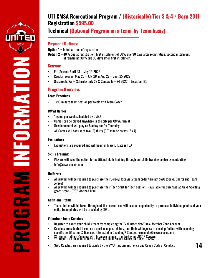

**INFORMATION**NFORMATION

## **U11 CMSA Recreational Program / (Historically) Tier 3 & 4 / Born 2011 Registration \$595.00**

## **Technical (Optional Program on a team-by-team basis)**

#### **Payment Options:**

- **Option 1 –** In full at time of registration
- **Option 2 –** 40% due at registration; first instalment of 30% due 30 days after registration; second instalment of remaining 30% due 30 days after first instalment.

#### **Season:**

- Pre-Season: April 23 May 19 2022
- Regular Season: May 23 July 28 & Aug 22 Sept 25 2022
- Grassroots Rally: Saturday July 23 & Sunday July 24 2022 Location TBD

#### **Program Overview:**

#### **Team Practices**

1x90 minute team session per week with Team Coach

#### **CMSA Games**

- 1 game per week scheduled by CMSA
- Games can be played anywhere in the city per CMSA format
- Developmental will play on Sunday and/or Thursday
- All Games will consist of two (2) thirty (30) minute halves (7 v 7)

#### **Evaluations**

• Evaluations are required and will begin in March. Date is TBA

#### **Skills Training**

• Players will have the option for additional skills training through our skills training centre by contacting [info@cswusoccer.com.](mailto:info@cswusoccer.com)

#### **Uniforms**

- All players will be required to purchase their Jerseys kits via a team order through SWU (Socks, Shorts and Team Jersey)
- All players will be required to purchase their Tech Shirt for Tech sessions available for purchase at Kicks Sporting goods store - 9737 Macleod Trail

#### **Additional Items**

**PROGRAM**

• Team photos will be taken throughout the season. You will have an opportunity to purchase individual photos of your child. Team photos will be provided by SWU.

- Register to coach your child's team by completing the "Volunteer Now" link- Member Zone Account
- Coaches are selected based on experience, past history, and their willingness to develop further with coaching specific certification & licenses. Interested in Coaching? Contact [jesusmelo@cswusoccer.com](mailto:jesusmelo@cswusoccer.com)
- We support all our Coaches with in-house support, mentoring and NCCP Courses We require all coaches to have a valid Criminal Record Check on file with CMSA
- SWU Coaches are required to abide by the SWU Harassment Policy and Coach Code of Conduct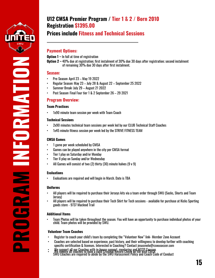

## **U12 CMSA Premier Program / Tier 1 & 2 / Born 2010 Registration \$1395.00**

## **Prices include Fitness and Technical Sessions**

#### **Payment Options:**

**Option 1 –** In full at time of registration

**Option 2 –** 40% due at registration; first instalment of 30% due 30 days after registration; second instalment of remaining 30% due 30 days after first instalment.

#### **Season:**

- Pre-Season: April 23 May 19 2022
- Regular Season: May 23 July 28 & August 22 September 25 2022
- Summer Break: July 29 August 21 2022
- Post Season: Final Four tier 1 & 2 September 26 29 2021

#### **Program Overview:**

#### **Team Practices**

1x90 minute team session per week with Team Coach

#### **Technical Sessions**

- 2x90 minutes technical team sessions per week led by our CLUB Technical Staff Coaches
- 1x45 minute fitness session per week led by the STRIVE FITNESS TEAM

#### **CMSA Games**

- 1 game per week scheduled by CMSA
- Games can be played anywhere in the city per CMSA format
- Tier I play on Saturday and/or Monday
- Tier II play on Sunday and/or Wednesday
- All Games will consist of two (2) thirty (30) minute halves (9 v 9)

#### **Evaluations**

**PROGRAM INFORMATION**

 $\overline{\phantom{0}}$ 

**SORRAMATION** 

• Evaluations are required and will begin in March. Date is TBA

#### **Uniforms**

- All players will be required to purchase their Jerseys kits via a team order through SWU (Socks, Shorts and Team Jersey)
- All players will be required to purchase their Tech Shirt for Tech sessions available for purchase at Kicks Sporting goods store - 9737 Macleod Trail

#### **Additional Items**

• Team Photos will be taken throughout the season. You will have an opportunity to purchase individual photos of your child. Team photos will be provided by SWU.

- Register to coach your child's team by completing the "Volunteer Now" link- Member Zone Account
- Coaches are selected based on experience, past history, and their willingness to develop further with coaching specific certification & licenses. Interested in Coaching? Contact [jesusmelo@cswusoccer.com](mailto:jesusmelo@cswusoccer.com)
- We support all our Coaches with in-house support, mentoring and NCCP Courses<br>SWU Coaches all coaches to have a valid Grimmal Record Grieck on file with CMSA<br>SWU Coaches are required to abide by the SWU Harassment Policy an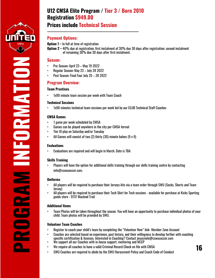

**INFORMATION**

## **Prices include Technical Session**

#### **Payment Options:**

**Option 1 –** In full at time of registration

**Option 2 –** 40% due at registration; first instalment of 30% due 30 days after registration; second instalment of remaining 30% due 30 days after first instalment.

#### **Season:**

- Pre-Season: April 23 May 19 2022
- Regular Season: May 23 July 28 2022
- Post Season: Final Four July 25 28 2022

#### **Program Overview:**

#### **Team Practices**

• 1x90 minute team session per week with Team Coach

#### **Technical Sessions**

• 1x90 minutes technical team sessions per week led by our CLUB Technical Staff Coaches

#### **CMSA Games**

- 1 game per week scheduled by CMSA
- Games can be played anywhere in the city per CMSA format
- Tier III play on Saturday and/or Tuesday
- All Games will consist of two (2) thirty (30) minute halves (9 v 9)

#### **Evaluations**

• Evaluations are required and will begin in March. Date is TBA

#### **Skills Training**

• Players will have the option for additional skills training through our skills training centre by contacting [info@cswusoccer.com.](mailto:info@cswusoccer.com)

#### **Uniforms**

- All players will be required to purchase their Jerseys kits via a team order through SWU (Socks, Shorts and Team Jersey)
- All players will be required to purchase their Tech Shirt for Tech sessions available for purchase at Kicks Sporting goods store - 9737 Macleod Trail

#### **Additional Items**

**PROGRAM**

• Team Photos will be taken throughout the season. You will have an opportunity to purchase individual photos of your child. Team photos will be provided by SWU.

- Register to coach your child's team by completing the "Volunteer Now" link- Member Zone Account
- Coaches are selected based on experience, past history, and their willingness to develop further with coaching specific certification & licenses. Interested in Coaching? Contact [jesusmelo@cswusoccer.com](mailto:jesusmelo@cswusoccer.com)
- We support all our Coaches with in-house support, mentoring and NCCP
- We require all coaches to have a valid Criminal Record Check on file with CMSA
- SWU Coaches are required to abide by the SWU Harassment Policy and Coach Code of Conduct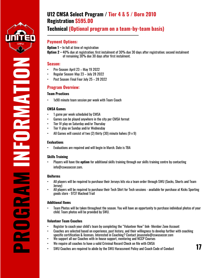

**INFORMATION**

## **Technical (Optional program on a team-by-team basis)**

#### **Payment Options:**

- **Option 1 –** In full at time of registration
- **Option 2 –** 40% due at registration; first instalment of 30% due 30 days after registration; second instalment of remaining 30% due 30 days after first instalment.

#### **Season:**

- Pre-Season: April 23 May 19 2022
- Regular Season: May 23 July 28 2022
- Post Season: Final Four July 25 28 2022

#### **Program Overview:**

#### **Team Practices**

1x90 minute team session per week with Team Coach

#### **CMSA Games**

- 1 game per week scheduled by CMSA
- Games can be played anywhere in the city per CMSA format
- Tier IV play on Saturday and/or Thursday
- Tier V play on Sunday and/or Wednesday
- All Games will consist of two (2) thirty (30) minute halves (9 v 9)

#### **Evaluations**

• Evaluations are required and will begin in March. Date is TBA

#### **Skills Training**

• Players will have the **option** for additional skills training through our skills training centre by contacting [info@cswusoccer.com.](mailto:info@cswusoccer.com)

#### **Uniforms**

**PROGRAM**

- All players will be required to purchase their Jerseys kits via a team order through SWU (Socks, Shorts and Team Jersey)
- All players will be required to purchase their Tech Shirt for Tech sessions available for purchase at Kicks Sporting goods store - 9737 Macleod Trail

#### **Additional Items**

• Team Photos will be taken throughout the season. You will have an opportunity to purchase individual photos of your child. Team photos will be provided by SWU.

- Register to coach your child's team by completing the "Volunteer Now" link- Member Zone Account
- Coaches are selected based on experience, past history, and their willingness to develop further with coaching specific certification & licenses. Interested in Coaching? Contact [jesusmelo@cswusoccer.com](mailto:jesusmelo@cswusoccer.com)
- We support all our Coaches with in-house support, mentoring and NCCP Courses
- We require all coaches to have a valid Criminal Record Check on file with CMSA
- SWU Coaches are required to abide by the SWU Harassment Policy and Coach Code of Conduct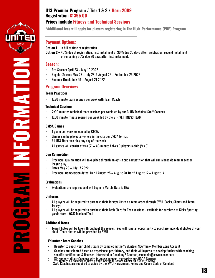

**\*Additional fees will apply for players registering in The High-Performance (PDP) Program**

#### **Payment Options:**

**Option 1 –** In full at time of registration

**Option 2 –** 40% due at registration; first instalment of 30% due 30 days after registration; second instalment of remaining 30% due 30 days after first instalment.

#### **Season:**

- Pre-Season: April 23 May 19 2022
- Regular Season: May 23 July 28 & August 22 September 25 2022
- Summer Break: July 29 August 21 2022

#### **Program Overview:**

#### **Team Practices**

1x90 minute team session per week with Team Coach

#### **Technical Sessions**

- 2x90 minutes technical team sessions per week led by our CLUB Technical Staff Coaches
- 1x60 minute fitness session per week led by the STRIVE FITNESS TEAM

#### **CMSA Games**

- 1 game per week scheduled by CMSA
- Games can be played anywhere in the city per CMSA format
- All U13 Tiers may play any day of the week
- All games will consist of two  $(2) 40$ -minute halves 9 players a-side  $(9 \vee 9)$

#### **Cup Competition**

**PROGRAM INFORMATION**

**ORAN ACTES** 

- Provincial qualification will take place through an opt-in cup competition that will run alongside regular season league play
- Dates May 20 July 17 2022
- Provincial Competition dates: Tier 1 August 25 August 28 Tier 2 August 12 August 14

#### **Evaluations**

• Evaluations are required and will begin in March. Date is TBA

#### **Uniforms**

- All players will be required to purchase their Jerseys kits via a team order through SWU (Socks, Shorts and Team Jersey)
- All players will be required to purchase their Tech Shirt for Tech sessions available for purchase at Kicks Sporting goods store - 9737 Macleod Trail

#### **Additional Items**

• Team Photos will be taken throughout the season. You will have an opportunity to purchase individual photos of your<br>child Team photos will be provided by SWU child. Team photos will be provided by SWU.

- Register to coach your child's team by completing the "Volunteer Now" link- Member Zone Account
- Coaches are selected based on experience, past history, and their willingness to develop further with coaching specific certification & licenses. Interested in Coaching? Contact [jesusmelo@cswusoccer.com](mailto:jesusmelo@cswusoccer.com)
- We support all our Coaches with in-house support, mentoring and NCCP Courses<br>SWU Coaches all coaches to have a valid Criminal Record Check on file with CMSA<br>SWU Coaches are required to abide by the SWU Harassment Policy an
	-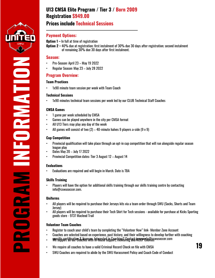

**INFORMATIONSORMANIO** 

#### **Payment Options:**

**Option 1 –** In full at time of registration

**Option 2 –** 40% due at registration; first instalment of 30% due 30 days after registration; second instalment of remaining 30% due 30 days after first instalment.

#### **Season:**

- Pre-Season: April 23 May 19 2022
- Regular Season: May 23 July 28 2022

#### **Program Overview:**

#### **Team Practices**

1x90 minute team session per week with Team Coach

#### **Technical Sessions**

• 1x90 minutes technical team sessions per week led by our CLUB Technical Staff Coaches

#### **CMSA Games**

- 1 game per week scheduled by CMSA
- Games can be played anywhere in the city per CMSA format
- All U13 Tiers may play any day of the week
- All games will consist of two  $(2) 40$ -minute halves 9 players a-side  $(9 \text{ v } 9)$

#### **Cup Competition**

- Provincial qualification will take place through an opt-in cup competition that will run alongside regular season league play
- Dates May 20 July 17 2022
- Provincial Competition dates: Tier 3 August 12 August 14

#### **Evaluations**

• Evaluations are required and will begin in March. Date is TBA

#### **Skills Training**

• Players will have the option for additional skills training through our skills training centre by contacting [info@cswusoccer.com.](mailto:info@cswusoccer.com)

#### **Uniforms**

**PROGRAM**

- All players will be required to purchase their Jerseys kits via a team order through SWU (Socks, Shorts and Team Jersey)
- All players will be required to purchase their Tech Shirt for Tech sessions available for purchase at Kicks Sporting goods store - 9737 Macleod Trail

- Register to coach your child's team by completing the "Volunteer Now" link- Member Zone Account
- Coaches are selected based on experience, past history, and their willingness to develop further with coaching
- . We sific certification & licenses. Interested in Coaching? Contact jesusmelo@eswusoccer.com
- We require all coaches to have a valid Criminal Record Check on file with CMSA  $\boldsymbol{\cdot}$  **19**
- SWU Coaches are required to abide by the SWU Harassment Policy and Coach Code of Conduct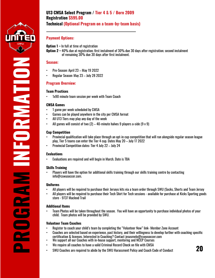

**INFORMATION**

#### **Payment Options:**

- **Option 1 –** In full at time of registration
- **Option 2 –** 40% due at registration; first instalment of 30% due 30 days after registration; second instalment of remaining 30% due 30 days after first instalment.

#### **Season:**

- Pre-Season: April 23 May 19 2022
- Regular Season: May 23 July 28 2022

#### **Program Overview:**

#### **Team Practices**

1x90 minute team session per week with Team Coach

#### **CMSA Games**

- 1 game per week scheduled by CMSA
- Games can be played anywhere in the city per CMSA format
- All U13 Tiers may play any day of the week
- All games will consist of two  $(2) 40$ -minute halves 9 players a-side  $(9 \text{ v } 9)$

#### **Cup Competition**

- Provincial qualification will take place through an opt-in cup competition that will run alongside regular season league play, Tier 5 teams can enter the Tier 4 cup. Dates May 20 – July 17 2022
- Provincial Competition dates: Tier 4 July 22 July 24

#### **Evaluations**

• Evaluations are required and will begin in March. Date is TBA

#### **Skills Training**

• Players will have the option for additional skills training through our skills training centre by contacting [info@cswusoccer.com.](mailto:info@cswusoccer.com)

#### **Uniforms**

**PROGRAM**

- All players will be required to purchase their Jerseys kits via a team order through SWU (Socks, Shorts and Team Jersey
- All players will be required to purchase their Tech Shirt for Tech sessions available for purchase at Kicks Sporting goods store - 9737 Macleod Trail

#### **Additional Items**

• Team Photos will be taken throughout the season. You will have an opportunity to purchase individual photos of your child. Team photos will be provided by SWU.

- Register to coach your child's team by completing the "Volunteer Now" link- Member Zone Account
- Coaches are selected based on experience, past history, and their willingness to develop further with coaching specific certification & licenses. Interested in Coaching? Contact [jesusmelo@cswusoccer.com](mailto:jesusmelo@cswusoccer.com)
- We support all our Coaches with in-house support, mentoring and NCCP Courses
- We require all coaches to have a valid Criminal Record Check on file with CMSA
- SWU Coaches are required to abide by the SWU Harassment Policy and Coach Code of Conduct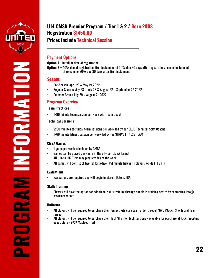

## **U14 CMSA Premier Program / Tier 1 & 2 / Born 2008 Registration \$1450.00**

## **Prices Include Technical Session**

#### **Payment Options:**

**Option 1 –** In full at time of registration

**Option 2 –** 40% due at registration; first instalment of 30% due 30 days after registration; second instalment of remaining 30% due 30 days after first instalment.

#### **Season:**

- Pre-Season: April 23 May 19 2022
- Regular Season: May 23 July 28 & August 22 September 25 2022
- Summer Break: July 29 August 21 2022

#### **Program Overview:**

#### **Team Practices**

1x90 minute team session per week with Team Coach

#### **Technical Sessions**

- 2x90 minutes technical team sessions per week led by our CLUB Technical Staff Coaches
- 1x60 minute fitness session per week led by the STRIVE FITNESS TEAM

#### **CMSA Games**

- 1 game per week scheduled by CMSA
- Games can be played anywhere in the city per CMSA format
- All U14 to U17 Tiers may play any day of the week
- All games will consist of two (2) forty-five (45) minute halves 11 players a-side (11 v 11)

#### **Evaluations**

**PROGRAM INFORMATION**

NN

 $\mathbf{E}$ 

 $\approx$ 

a.

**OBAN SOLE** 

• Evaluations are required and will begin in March. Date is TBA

#### **Skills Training**

• Players will have the option for additional skills training through our skills training centre by contacting info $\varpi$ cswusoccer.com.

#### **Uniforms**

- All players will be required to purchase their Jerseys kits via a team order through SWU (Socks, Shorts and Team Jersey)
- All players will be required to purchase their Tech Shirt for Tech sessions available for purchase at Kicks Sporting goods store - 9737 Macleod Trail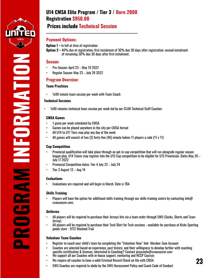

## **Prices include Technical Session**

#### **Payment Options:**

- **Option 1 –** In full at time of registration
- **Option 2 –** 40% due at registration; first instalment of 30% due 30 days after registration; second instalment of remaining 30% due 30 days after first instalment.

#### **Season:**

- Pre-Season: April 23 May 19 2022
- Regular Season: May 23 July 28 2022

#### **Program Overview:**

#### **Team Practices**

• 1x90 minute team session per week with Team Coach

#### **Technical Sessions**

• 1x90 minutes technical team session per week led by our CLUB Technical Staff Coaches

#### **CMSA Games**

- 1 game per week scheduled by CMSA
- Games can be played anywhere in the city per CMSA format
- All U14 to U17 Tiers may play any day of the week
- All games will consist of two (2) forty-five (45) minute halves 11 players a-side (11 v 11)

#### **Cup Competition**

**PROGRAM INFORMATION**

NEORMANHON

- Provincial qualification will take place through an opt-in cup competition that will run alongside regular season league play, U14 Teams may register into the U15 Cup competition to be eligible for U15 Provincials. Dates May 20 – July 17 2022
- Provincial Competition dates: Tier 4 July 22 July 24
- Tier 3 August 12 Aug 14

#### **Evaluations**

• Evaluations are required and will begin in March. Date is TBA

#### **Skills Training**

Players will have the option for additional skills training through our skills training centre by contacting info $\omega$ cswusoccer.com.

#### **Uniforms**

- All players will be required to purchase their Jerseys kits via a team order through SWU (Socks, Shorts and Team Jersey)
- All players will be required to purchase their Tech Shirt for Tech sessions available for purchase at Kicks Sporting goods store - 9737 Macleod Trail

- Register to coach your child's team by completing the "Volunteer Now" link- Member Zone Account
- Coaches are selected based on experience, past history, and their willingness to develop further with coaching specific certification & licenses. Interested in Coaching? Contact [jesusmelo@cswusoccer.com](mailto:jesusmelo@cswusoccer.com)
- We support all our Coaches with in-house support, mentoring and NCCP Courses
- We require all coaches to have a valid Criminal Record Check on file with CMSA
- SWU Coaches are required to abide by the SWU Harassment Policy and Coach Code of Conduct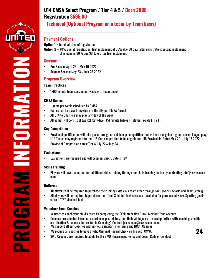

FORMATION

 $\overline{\phantom{0}}$ 

### **Technical (Optional Program on a team-by-team basis)**

#### **Payment Options:**

**Option 1 –** In full at time of registration

**Option 2 –** 40% due at registration; first instalment of 30% due 30 days after registration; second instalment of remaining 30% due 30 days after first instalment.

#### **Season:**

- Pre-Season: April 23 May 19 2022
- Regular Season: May 23 July 28 2022

#### **Program Overview:**

#### **Team Practices**

• 1x90 minute team session per week with Team Coach

#### **CMSA Games**

- 1 game per week scheduled by CMSA
- Games can be played anywhere in the city per CMSA format
- All U14 to U17 Tiers may play any day of the week
- All games will consist of two (2) forty-five (45) minute halves 11 players a-side (11 v 11)

#### **Cup Competition**

- Provincial qualification will take place through an opt-in cup competition that will run alongside regular season league play, U14 Teams may register into the U15 Cup competition to be eligible for U15 Provincials. Dates May 20 – July 17 2022
- Provincial Competition dates: Tier 4 July 22 July 24

#### **Evaluations**

• Evaluations are required and will begin in March. Date is TBA

#### **Skills Training**

• Players will have the option for additional skills training through our skills training centre by contacting info@cswusoccer. com.

#### **Uniforms**

- All players will be required to purchase their Jerseys kits via a team order through SWU (Socks, Shorts and Team Jersey)
- All players will be required to purchase their Tech Shirt for Tech sessions available for purchase at Kicks Sporting goods store - 9737 Macleod Trail

- Register to coach your child's team by completing the "Volunteer Now" link- Member Zone Account
- Coaches are selected based on experience, past history, and their willingness to develop further with coaching specific certification & licenses. Interested in Coaching? Contact [jesusmelo@cswusoccer.com](mailto:jesusmelo@cswusoccer.com) **PROGRAM INFORMATION**
	- We support all our Coaches with in-house support, mentoring and NCCP Courses
	- We require all coaches to have a valid Criminal Record Check on file with CMSA
	- SWU Coaches are required to abide by the SWU Harassment Policy and Coach Code of Conduct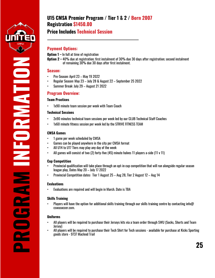

**INFORMATIONSORANA EN ROEDER** 

## **U15 CMSA Premier Program / Tier 1 & 2 / Born 2007 Registration \$1450.00**

## **Price Includes Technical Session**

#### **Payment Options:**

**Option 1 –** In full at time of registration

**Option 2 –** 40% due at registration; first instalment of 30% due 30 days after registration; second instalment of remaining 30% due 30 days after first instalment.

#### **Season:**

- Pre-Season: April 23 May 19 2022
- Regular Season: May 23 July 28 & August 22 September 25 2022
- Summer Break: July 29 August 21 2022

#### **Program Overview:**

#### **Team Practices**

1x90 minute team session per week with Team Coach

#### **Technical Sessions**

- 2x90 minutes technical team sessions per week led by our CLUB Technical Staff Coaches
- 1x60 minute fitness session per week led by the STRIVE FITNESS TEAM

#### **CMSA Games**

- 1 game per week scheduled by CMSA
- Games can be played anywhere in the city per CMSA format
- All U14 to U17 Tiers may play any day of the week
- All games will consist of two (2) forty-five (45) minute halves 11 players a-side (11 v 11)

#### **Cup Competition**

- Provincial qualification will take place through an opt-in cup competition that will run alongside regular season league play, Dates May 20 – July 17 2022
- Provincial Competition dates: Tier 1 August 25 Aug 28, Tier 2 August 12 Aug 14

#### **Evaluations**

• Evaluations are required and will begin in March. Date is TBA

#### **Skills Training**

• Players will have the option for additional skills training through our skills training centre by contacting info@ cswusoccer.com.

#### **Uniforms**

**PROGRAM**

- All players will be required to purchase their Jerseys kits via a team order through SWU (Socks, Shorts and Team Jersey)
- All players will be required to purchase their Tech Shirt for Tech sessions available for purchase at Kicks Sporting goods store - 9737 Macleod Trail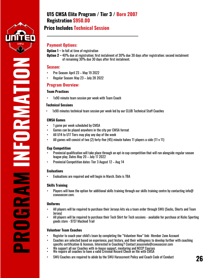

### **Price Includes Technical Session**

#### **Payment Options:**

**Option 1 –** In full at time of registration

**Option 2 –** 40% due at registration; first instalment of 30% due 30 days after registration; second instalment of remaining 30% due 30 days after first instalment.

#### **Season:**

- Pre-Season: April 23 May 19 2022
- Regular Season: May 23 July 28 2022

#### **Program Overview:**

#### **Team Practices**

1x90 minute team session per week with Team Coach

#### **Technical Sessions**

• 1x90 minutes technical team session per week led by our CLUB Technical Staff Coaches

#### **CMSA Games**

- 1 game per week scheduled by CMSA
- Games can be played anywhere in the city per CMSA format
- All U14 to U17 Tiers may play any day of the week
- All games will consist of two (2) forty-five (45) minute halves 11 players a-side (11 v 11)

#### **Cup Competition**

- Provincial qualification will take place through an opt-in cup competition that will run alongside regular season league play, Dates May 20 – July 17 2022
- Provincial Competition dates: Tier 3 August 12 Aug 14

#### **Evaluations**

**PROGRAM INFORMATION**

**MN** 

**CONSTRUCTION** 

• Evaluations are required and will begin in March. Date is TBA

#### **Skills Training**

Players will have the option for additional skills training through our skills training centre by contacting info@ cswusoccer.com.

#### **Uniforms**

- All players will be required to purchase their Jerseys kits via a team order through SWU (Socks, Shorts and Team Jersey)
- All players will be required to purchase their Tech Shirt for Tech sessions available for purchase at Kicks Sporting goods store - 9737 Macleod Trail

- Register to coach your child's team by completing the "Volunteer Now" link- Member Zone Account
- Coaches are selected based on experience, past history, and their willingness to develop further with coaching specific certification & licenses. Interested in Coaching? Contact [jesusmelo@cswusoccer.com](mailto:jesusmelo@cswusoccer.com)
- We support all our Coaches with in-house support, mentoring and NCCP Courses • We require all coaches to have a valid Criminal Record Check on file with CMSA
- SWU Coaches are required to abide by the SWU Harassment Policy and Coach Code of Conduct **26**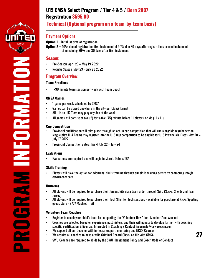

FORMATION

### **Technical (Optional program on a team-by-team basis)**

#### **Payment Options:**

**Option 1 –** In full at time of registration

**Option 2 –** 40% due at registration; first instalment of 30% due 30 days after registration; second instalment of remaining 30% due 30 days after first instalment.

#### **Season:**

- Pre-Season: April 23 May 19 2022
- Regular Season: May 23 July 28 2022

#### **Program Overview:**

#### **Team Practices**

1x90 minute team session per week with Team Coach

#### **CMSA Games**

- 1 game per week scheduled by CMSA
- Games can be played anywhere in the city per CMSA format
- All U14 to U17 Tiers may play any day of the week
- All games will consist of two (2) forty-five (45) minute halves 11 players a-side (11 v 11)

#### **Cup Competition**

- Provincial qualification will take place through an opt-in cup competition that will run alongside regular season league play, U14 Teams may register into the U15 Cup competition to be eligible for U15 Provincials. Dates May 20 – July 17 2022
- Provincial Competition dates: Tier 4 July 22 July 24

#### **Evaluations**

**PROGRAM INFORMATION**

 $\overline{\phantom{0}}$ 

• Evaluations are required and will begin in March. Date is TBA

#### **Skills Training**

• Players will have the option for additional skills training through our skills training centre by contacting info@ cswusoccer.com.

#### **Uniforms**

- All players will be required to purchase their Jerseys kits via a team order through SWU (Socks, Shorts and Team Jersey)
- All players will be required to purchase their Tech Shirt for Tech sessions available for purchase at Kicks Sporting goods store - 9737 Macleod Trail

- Register to coach your child's team by completing the "Volunteer Now" link- Member Zone Account
- Coaches are selected based on experience, past history, and their willingness to develop further with coaching specific certification & licenses. Interested in Coaching? Contact [jesusmelo@cswusoccer.com](mailto:jesusmelo@cswusoccer.com)
- We support all our Coaches with in-house support, mentoring and NCCP Courses
- We require all coaches to have a valid Criminal Record Check on file with CMSA
- SWU Coaches are required to abide by the SWU Harassment Policy and Coach Code of Conduct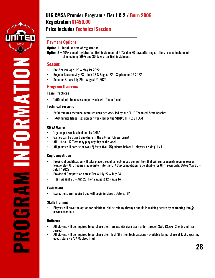

**INFORMATIONSOLANAS CHALLE** 

### **Price Includes Technical Session**

#### **Payment Options:**

- **Option 1 –** In full at time of registration
- **Option 2 –** 40% due at registration; first instalment of 30% due 30 days after registration; second instalment of remaining 30% due 30 days after first instalment.

#### **Season:**

- Pre-Season: April 23 May 19 2022
	- Regular Season: May 23 July 28 & August 22 September 25 2022
- Summer Break: July 29 August 21 2022

#### **Program Overview:**

#### **Team Practices**

1x90 minute team session per week with Team Coach

#### **Technical Sessions**

- 2x90 minutes technical team sessions per week led by our CLUB Technical Staff Coaches
- 1x60 minute fitness session per week led by the STRIVE FITNESS TEAM

#### **CMSA Games**

- 1 game per week scheduled by CMSA
- Games can be played anywhere in the city per CMSA format
- All U14 to U17 Tiers may play any day of the week
- All games will consist of two (2) forty-five (45) minute halves 11 players a-side (11 v 11)

#### **Cup Competition**

- Provincial qualification will take place through an opt-in cup competition that will run alongside regular season league play, U16 Teams may register into the U17 Cup competition to be eligible for U17 Provincials. Dates May 20 – July 17 2022
- Provincial Competition dates: Tier 4 July 22 July 24
- Tier 1 August 25 Aug 28, Tier 2 August 12 Aug 14

#### **Evaluations**

• Evaluations are required and will begin in March. Date is TBA

#### **Skills Training**

• Players will have the option for additional skills training through our skills training centre by contacting info@ cswusoccer.com.

#### **Uniforms**

**PROGRAM**

- All players will be required to purchase their Jerseys kits via a team order through SWU (Socks, Shorts and Team Jersey)
- All players will be required to purchase their Tech Shirt for Tech sessions available for purchase at Kicks Sporting goods store - 9737 Macleod Trail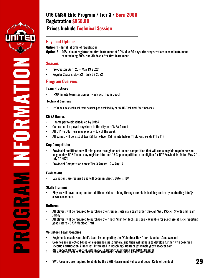

### **Prices Include Technical Session**

#### **Payment Options:**

**Option 1 –** In full at time of registration

**Option 2 –** 40% due at registration; first instalment of 30% due 30 days after registration; second instalment of remaining 30% due 30 days after first instalment.

#### **Season:**

- Pre-Season: April 23 May 19 2022
- Regular Season: May 23 July 28 2022

#### **Program Overview:**

#### **Team Practices**

1x90 minute team session per week with Team Coach

#### **Technical Sessions**

• 1x90 minutes technical team session per week led by our CLUB Technical Staff Coaches

#### **CMSA Games**

- 1 game per week scheduled by CMSA
- Games can be played anywhere in the city per CMSA format
- All U14 to U17 Tiers may play any day of the week
- All games will consist of two (2) forty-five (45) minute halves 11 players a-side (11 v 11)

#### **Cup Competition**

- Provincial qualification will take place through an opt-in cup competition that will run alongside regular season league play, U16 Teams may register into the U17 Cup competition to be eligible for U17 Provincials. Dates May 20 – July 17 2022
- Provincial Competition dates: Tier 3 August 12 Aug 14

#### **Evaluations**

**PROGRAM INFORMATION**

OLLAN NY COSTAL

• Evaluations are required and will begin in March. Date is TBA

#### **Skills Training**

Players will have the option for additional skills training through our skills training centre by contacting info@ cswusoccer.com.

#### **Uniforms**

- All players will be required to purchase their Jerseys kits via a team order through SWU (Socks, Shorts and Team Jersey)
- All players will be required to purchase their Tech Shirt for Tech sessions available for purchase at Kicks Sporting goods store - 9737 Macleod Trail

- Register to coach your child's team by completing the "Volunteer Now" link- Member Zone Account
- Coaches are selected based on experience, past history, and their willingness to develop further with coaching specific certification & licenses. Interested in Coaching? Contact [jesusmelo@cswusoccer.com](mailto:jesusmelo@cswusoccer.com)
- We support all our Coaches with in-house support, mentoring and NCCP Courses We require all coaches to have a valid Criminal Record Check on file with CMSA
- SWU Coaches are required to abide by the SWU Harassment Policy and Coach Code of Conduct **29**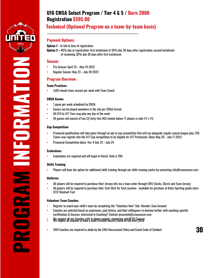

## **Technical (Optional Program on a team-by-team basis)**

#### **Payment Options:**

**Option 1 –** In full at time of registration

**Option 2 –** 40% due at registration; first instalment of 30% due 30 days after registration; second instalment of remaining 30% due 30 days after first instalment.

#### **Season:**

- Pre-Season: April 23 May 19 2022
- Regular Season: May 23 July 28 2022

#### **Program Overview:**

#### **Team Practices**

1x90 minute team session per week with Team Coach

#### **CMSA Games**

- 1 game per week scheduled by CMSA
- Games can be played anywhere in the city per CMSA format
- All U14 to U17 Tiers may play any day of the week
- All games will consist of two (2) forty-five (45) minute halves 11 players a-side (11 v 11)

#### **Cup Competition**

- Provincial qualification will take place through an opt-in cup competition that will run alongside regular season league play, U16 Teams may register into the U17 Cup competition to be eligible for U17 Provincials. Dates May 20 – July 17 2022
- Provincial Competition dates: Tier 4 July 22 July 24

#### **Evaluations**

**PROGRAM INFORMATION**

**CONSTRAINER** 

• Evaluations are required and will begin in March. Date is TBA

#### **Skills Training**

Players will have the option for additional skills training through our skills training centre by contacting [info@cswusoccer.com.](mailto:info@cswusoccer.com)

#### **Uniforms**

- All players will be required to purchase their Jerseys kits via a team order through SWU (Socks, Shorts and Team Jersey)
- All players will be required to purchase their Tech Shirt for Tech sessions available for purchase at Kicks Sporting goods store 9737 Macleod Trail

- Register to coach your child's team by completing the "Volunteer Now" link- Member Zone Account
- Coaches are selected based on experience, past history, and their willingness to develop further with coaching specific certification & licenses. Interested in Coaching? Contac[t jesusmelo@cswusoccer.com](mailto:jesusmelo@cswusoccer.com)
- We support all our Coaches with in-house support, mentoring and NCCP Courses We require all coaches to have a valid Criminal Record Check on file with CMSA
- SWU Coaches are required to abide by the SWU Harassment Policy and Coach Code of Conduct **30**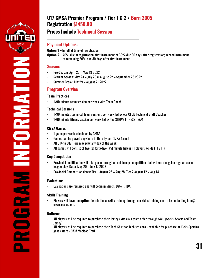

**INFORMATIONSORNATION** 

## **U17 CMSA Premier Program / Tier 1 & 2 / Born 2005 Registration \$1450.00**

### **Prices Include Technical Session**

#### **Payment Options:**

- **Option 1 –** In full at time of registration
- **Option 2 –** 40% due at registration; first instalment of 30% due 30 days after registration; second instalment of remaining 30% due 30 days after first instalment.

#### **Season:**

- Pre-Season: April 23 May 19 2022
- Regular Season: May 23 July 28 & August 22 September 25 2022
- Summer Break: July 29 August 21 2022

#### **Program Overview:**

#### **Team Practices**

• 1x90 minute team session per week with Team Coach

#### **Technical Sessions**

- 1x90 minutes technical team sessions per week led by our CLUB Technical Staff Coaches
- 1x60 minute fitness session per week led by the STRIVE FITNESS TEAM

#### **CMSA Games**

- 1 game per week scheduled by CMSA
- Games can be played anywhere in the city per CMSA format
- All U14 to U17 Tiers may play any day of the week
- All games will consist of two (2) forty-five (45) minute halves 11 players a-side (11 v 11)

#### **Cup Competition**

- Provincial qualification will take place through an opt-in cup competition that will run alongside regular season league play, Dates May 20 – July 17 2022
- Provincial Competition dates: Tier 1 August 25 Aug 28, Tier 2 August 12 Aug 14

#### **Evaluations**

• Evaluations are required and will begin in March. Date is TBA

#### **Skills Training**

• Players will have the **option** for additional skills training through our skills training centre by contacting info@ cswusoccer.com.

#### **Uniforms**

**PROGRAM**

- All players will be required to purchase their Jerseys kits via a team order through SWU (Socks, Shorts and Team Jersey)
- All players will be required to purchase their Tech Shirt for Tech sessions available for purchase at Kicks Sporting goods store - 9737 Macleod Trail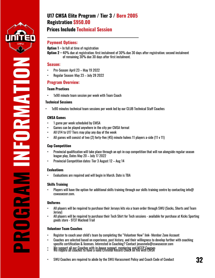

**SORIAL PROPER** 

### **Prices Include Technical Session**

#### **Payment Options:**

- **Option 1 –** In full at time of registration
- **Option 2 –** 40% due at registration; first instalment of 30% due 30 days after registration; second instalment of remaining 30% due 30 days after first instalment.

#### **Season:**

- Pre-Season: April 23 May 19 2022
- Regular Season: May 23 July 28 2022

#### **Program Overview:**

#### **Team Practices**

• 1x90 minute team session per week with Team Coach

#### **Technical Sessions**

• 1x90 minutes technical team sessions per week led by our CLUB Technical Staff Coaches

#### **CMSA Games**

- 1 game per week scheduled by CMSA
- Games can be played anywhere in the city per CMSA format
- All U14 to U17 Tiers may play any day of the week
- All games will consist of two (2) forty-five (45) minute halves 11 players a-side (11 v 11)

#### **Cup Competition**

- Provincial qualification will take place through an opt-in cup competition that will run alongside regular season league play, Dates May 20 – July 17 2022
- Provincial Competition dates: Tier 3 August 12 Aug 14

#### **Evaluations**

**PROGRAM INFORMATION**

• Evaluations are required and will begin in March. Date is TBA

#### **Skills Training**

Players will have the option for additional skills training through our skills training centre by contacting info $\omega$ cswusoccer.com.

#### **Uniforms**

- All players will be required to purchase their Jerseys kits via a team order through SWU (Socks, Shorts and Team Jersey)
- All players will be required to purchase their Tech Shirt for Tech sessions available for purchase at Kicks Sporting goods store - 9737 Macleod Trail

- Register to coach your child's team by completing the "Volunteer Now" link- Member Zone Account
- Coaches are selected based on experience, past history, and their willingness to develop further with coaching specific certification & licenses. Interested in Coaching? Contact [jesusmelo@cswusoccer.com](mailto:jesusmelo@cswusoccer.com)
- We support all our Coaches with in-house support, mentoring and NCCP Courses We require all coaches to have a valid Criminal Record Check on file with CMSA
- SWU Coaches are required to abide by the SWU Harassment Policy and Coach Code of Conduct **32**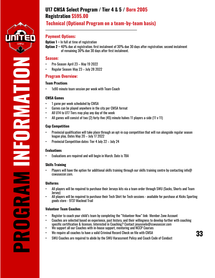

### **Technical (Optional Program on a team-by-team basis)**

#### **Payment Options:**

**Option 1 –** In full at time of registration

**Option 2 –** 40% due at registration; first instalment of 30% due 30 days after registration; second instalment of remaining 30% due 30 days after first instalment.

#### **Season:**

- Pre-Season: April 23 May 19 2022
- Regular Season: May 23 July 28 2022

#### **Program Overview:**

#### **Team Practices**

1x90 minute team session per week with Team Coach

#### **CMSA Games**

- 1 game per week scheduled by CMSA
- Games can be played anywhere in the city per CMSA format
- All U14 to U17 Tiers may play any day of the week
- All games will consist of two (2) forty-five (45) minute halves 11 players a-side (11 v 11)

#### **Cup Competition**

- Provincial qualification will take place through an opt-in cup competition that will run alongside regular season league play, Dates May 20 – July 17 2022
- Provincial Competition dates: Tier 4 July 22 July 24

#### **Evaluations**

**PROGRAM INFORMATION**

a.

**SOLANAL SOLAN** 

• Evaluations are required and will begin in March. Date is TBA

#### **Skills Training**

• Players will have the option for additional skills training through our skills training centre by contacting info@ cswusoccer.com.

#### **Uniforms**

- All players will be required to purchase their Jerseys kits via a team order through SWU (Socks, Shorts and Team Jersey)
- All players will be required to purchase their Tech Shirt for Tech sessions available for purchase at Kicks Sporting goods store - 9737 Macleod Trail

- Register to coach your child's team by completing the "Volunteer Now" link- Member Zone Account
- Coaches are selected based on experience, past history, and their willingness to develop further with coaching specific certification & licenses. Interested in Coaching? Contact [jesusmelo@cswusoccer.com](mailto:jesusmelo@cswusoccer.com)
- We support all our Coaches with in-house support, mentoring and NCCP Courses
- We require all coaches to have a valid Criminal Record Check on file with CMSA
- SWU Coaches are required to abide by the SWU Harassment Policy and Coach Code of Conduct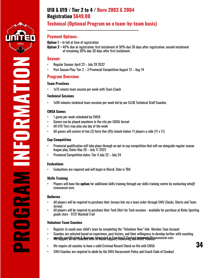

**INFORMATION**FORMATION

#### **Payment Options:**

**Option 1 –** In full at time of registration

**Option 2 –** 40% due at registration; first instalment of 30% due 30 days after registration; second instalment of remaining 30% due 30 days after first instalment.

#### **Season:**

- Regular Season: April 23 July 28 2022
- Post Season Play: Tier 2 3 Provincial Competition August 12 Aug 14

#### **Program Overview:**

#### **Team Practices**

1x75 minute team session per week with Team Coach

#### **Technical Sessions**

• 1x90 minutes technical team sessions per week led by our CLUB Technical Staff Coaches

#### **CMSA Games**

- 1 game per week scheduled by CMSA
- Games can be played anywhere in the city per CMSA format
- All U19 Tiers may play any day of the week
- All games will consist of two (2) forty-five (45) minute halves 11 players a-side (11 v 11)

#### **Cup Competition**

- Provincial qualification will take place through an opt-in cup competition that will run alongside regular season league play, Dates May 20 – July 17 2022
- Provincial Competition dates: Tier 4 July 22 July 24

#### **Evaluations**

• Evaluations are required and will begin in March. Date is TBA

#### **Skills Training**

• Players will have the **option** for additional skills training through our skills training centre by contacting info@ cswusoccer.com.

#### **Uniforms**

**PROGRAM**

- All players will be required to purchase their Jerseys kits via a team order through SWU (Socks, Shorts and Team Jersey)
- All players will be required to purchase their Tech Shirt for Tech sessions available for purchase at Kicks Sporting goods store - 9737 Macleod Trail

- Register to coach your child's team by completing the "Volunteer Now" link- Member Zone Account
- Coaches are selected based on experience, past history, and their willingness to develop further with coaching
- specific Gertification & licenses. Interested in Goaching C Gnutani insupprela Reswusoccer.com
- We require all coaches to have a valid Criminal Record Check on file with CMSA  $\boldsymbol{\mathrm{34}}$
- SWU Coaches are required to abide by the SWU Harassment Policy and Coach Code of Conduct